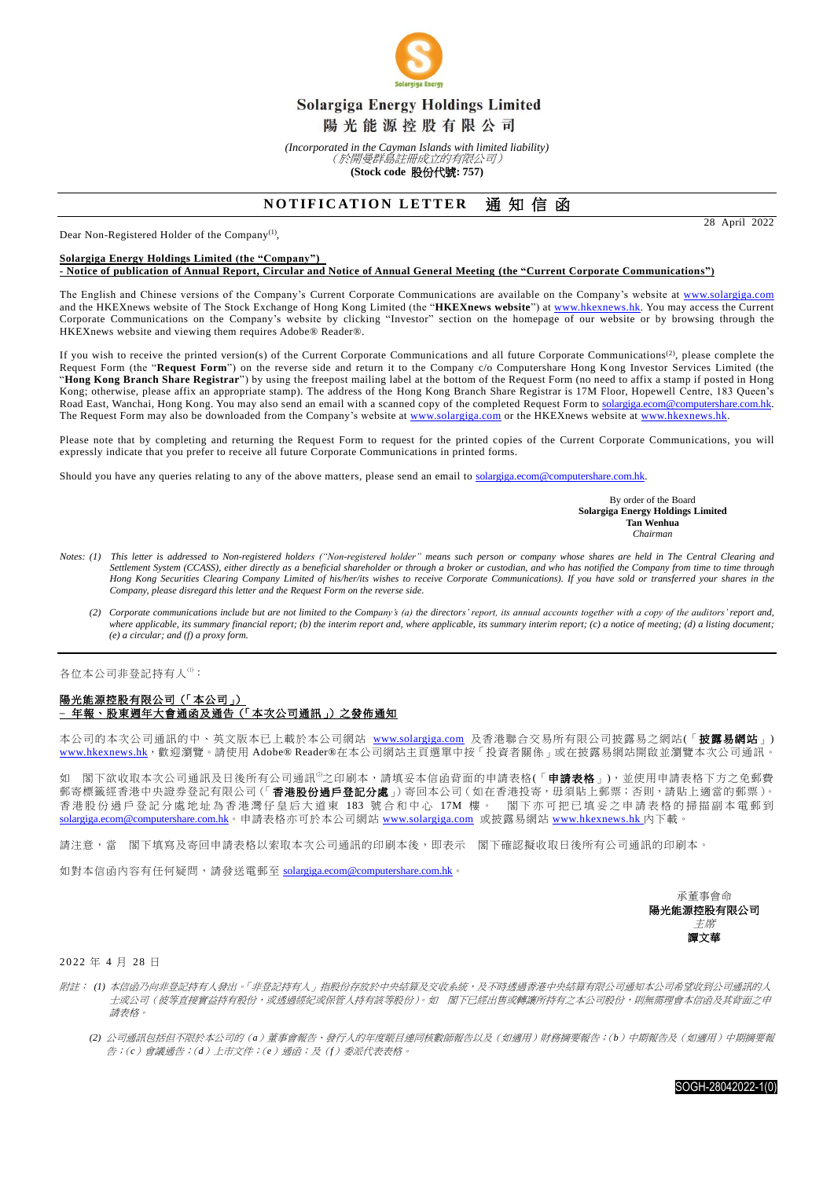

*(Incorporated in the Cayman Islands with limited liability)* (於開曼群島註冊成立的有限公司)

**(Stock code** 股份代號**: 757)**

## **NOTIFICATION LETTER 通知信函**

Dear Non-Registered Holder of the Company<sup>(1)</sup>,

## **Solargiga Energy Holdings Limited (the "Company")**

**- Notice of publication of Annual Report, Circular and Notice of Annual General Meeting (the "Current Corporate Communications")**

The English and Chinese versions of the Company's Current Corporate Communications are available on the Company's website at [www.solargiga.com](https://www.solargiga.com/en-US/index.html) and the HKEXnews website of The Stock Exchange of Hong Kong Limited (the "**HKEXnews website**") a[t www.hkexnews.hk.](http://www.hkexnews.hk/) You may access the Current Corporate Communications on the Company's website by clicking "Investor" section on the homepage of our website or by browsing through the HKEXnews website and viewing them requires Adobe® Reader®.

If you wish to receive the printed version(s) of the Current Corporate Communications and all future Corporate Communications<sup>(2)</sup>, please complete the Request Form (the "**Request Form**") on the reverse side and return it to the Company c/o Computershare Hong Kong Investor Services Limited (the "**Hong Kong Branch Share Registrar**") by using the freepost mailing label at the bottom of the Request Form (no need to affix a stamp if posted in Hong Kong; otherwise, please affix an appropriate stamp). The address of the Hong Kong Branch Share Registrar is 17M Floor, Hopewell Centre, 183 Queen's Road East, Wanchai, Hong Kong. You may also send an email with a scanned copy of the completed Request Form to [solargiga.ecom@computershare.com.hk.](mailto:solargiga.ecom@computershare.com.hk) The Request Form may also be downloaded from the Company's website at [www.solargiga.com](https://www.solargiga.com/en-US/index.html) or the HKEXnews website at www.hkexnews.hk

Please note that by completing and returning the Request Form to request for the printed copies of the Current Corporate Communications, you will expressly indicate that you prefer to receive all future Corporate Communications in printed forms.

Should you have any queries relating to any of the above matters, please send an email to [solargiga.ecom@computershare.com.hk.](mailto:solargiga.ecom@computershare.com.hk)

By order of the Board **Solargiga Energy Holdings Limited Tan Wenhua** *Chairman*

- *Notes: (1) This letter is addressed to Non-registered holders ("Non-registered holder" means such person or company whose shares are held in The Central Clearing and Settlement System (CCASS), either directly as a beneficial shareholder or through a broker or custodian, and who has notified the Company from time to time through Hong Kong Securities Clearing Company Limited of his/her/its wishes to receive Corporate Communications). If you have sold or transferred your shares in the Company, please disregard this letter and the Request Form on the reverse side.*
	- *(2) Corporate communications include but are not limited to the Company's (a) the directors' report, its annual accounts together with a copy of the auditors' report and,*  where applicable, its summary financial report; (b) the interim report and, where applicable, its summary interim report; (c) a notice of meeting; (d) a listing document; *(e) a circular; and (f) a proxy form.*

各位本公司非登記持有人(1):

## 陽光能源控股有限公司(「本公司」) **–** 年報、股東週年大會通函及通告(「本次公司通訊」)之發佈通知

本公司的本次公司通訊的中、英文版本已上載於本公司網站 [www.solargiga.com](https://www.solargiga.com/zh-TW/index.html) 及香港聯合交易所有限公司披露易之網站(「披露易網站」) [www.hkexnews.hk](http://www.hkexnews.hk/), 歡迎瀏覽。請使用 Adobe® Reader®在本公司網站主頁選單中按「投資者關係」或在披露易網站開啟並瀏覽本次公司通訊。

如 閣下欲收取本次公司通訊及日後所有公司通訊<sup>0</sup>之印刷本,請填妥本信函背面的申請表格(「**申請表格**」),並使用申請表格下方之免郵費 か、間上ははは、ハロリを開放しは、1977年、1977年、1977年、1977年、1977年、1977年、1978年、1978年、1978年、1978年、19<br>郵寄標籤經香港中央證券登記有限公司(「**香港股份過戶登記分處**」)寄回本公司(如在香港投寄,毋須貼上郵票;否則,請貼上適當的郵票)。 香 港 股份過戶登記 分 處地址為香港灣仔皇后大道東 183 號合和中心 17M 樓 。 閣 下 亦可把已填妥之 申請表格 的掃描副本電郵到 [solargiga.ecom@computershare.com.hk](mailto:solargiga.ecom@computershare.com.hk)。申請表格亦可於本公司網站 [www.solargiga.com](https://www.solargiga.com/zh-TW/index.html) 或披露易網站 [www.hkexnews.hk](http://www.hkexnews.hk/) 內下載。

請注意,當 閣下填寫及寄回申請表格以索取本次公司通訊的印刷本後,即表示 閣下確認擬收取日後所有公司通訊的印刷本。

如對本信函內容有任何疑問,請發送電郵至 [solargiga.ecom@computershare.com.hk](mailto:solargiga.ecom@computershare.com.hk)。

| 承董事會命      |
|------------|
| 陽光能源控股有限公司 |
| 主席         |
| 譚文華        |

2 0 22 年 4 月 28 日

- 附註: *(1)* 本信函乃向非登記持有人發出。「非登記持有人」指股份存放於中央結算及交收系統,及不時透過香港中央結算有限公司通知本公司希望收到公司通訊的人 士或公司(彼等直接實益持有股份,或透過經紀或保管人持有該等股份)。如 閣下已經出售或轉讓所持有之本公司股份,則無需理會本信函及其背面之申 請表格。
	- *(2)* 公司通訊包括但不限於本公司的(*a*)董事會報告、發行人的年度賬目連同核數師報告以及(如適用)財務摘要報告;(*b*)中期報告及(如適用)中期摘要報 告;(*c*)會議通告;(*d*)上市文件;(*e*)通函;及(*f*)委派代表表格。

SOGH-28042022-1(0)

28 April 2022